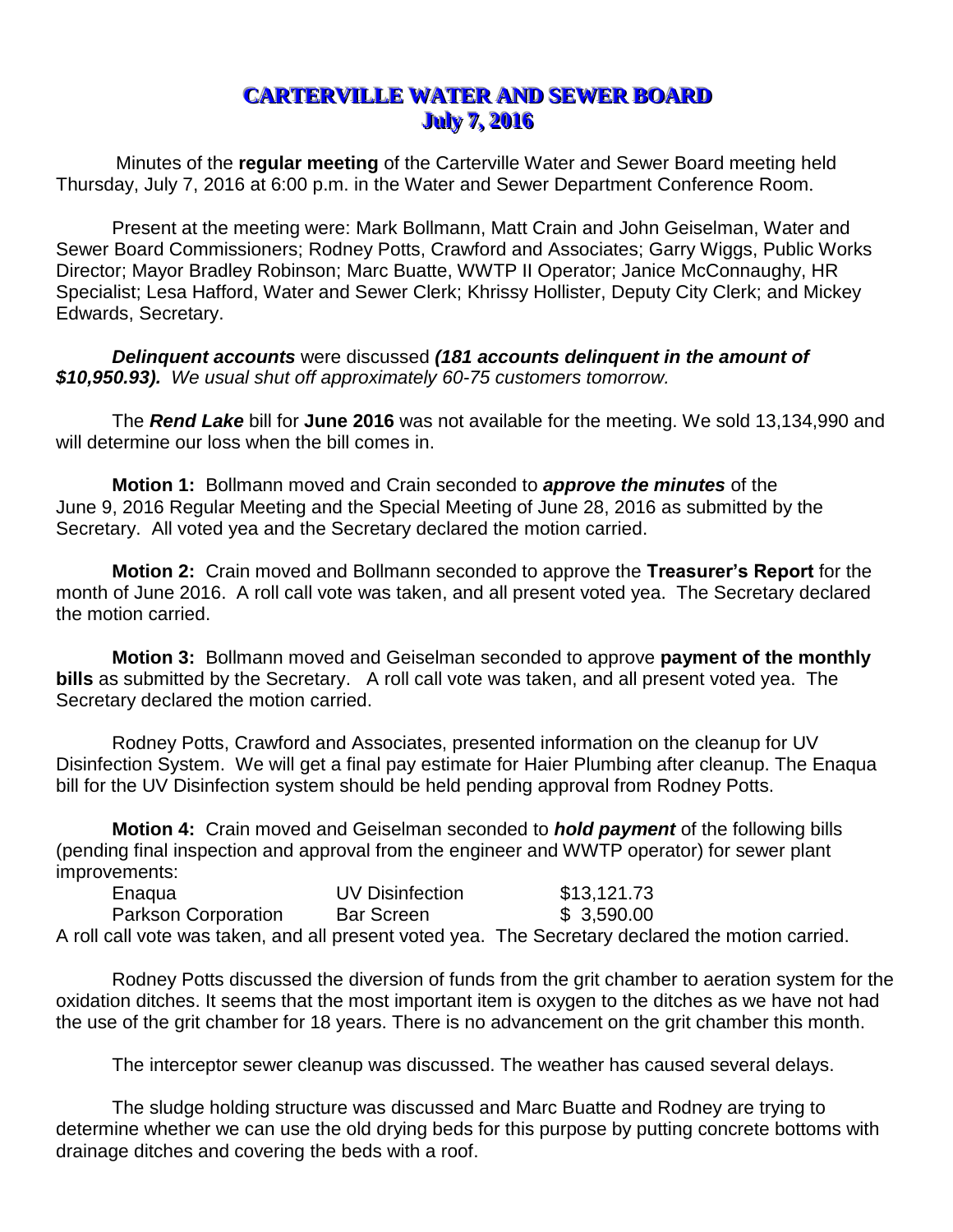## **CARTERVILLE WATER AND SEWER BOARD** *July 7, 2016*

Minutes of the **regular meeting** of the Carterville Water and Sewer Board meeting held Thursday, July 7, 2016 at 6:00 p.m. in the Water and Sewer Department Conference Room.

Present at the meeting were: Mark Bollmann, Matt Crain and John Geiselman, Water and Sewer Board Commissioners; Rodney Potts, Crawford and Associates; Garry Wiggs, Public Works Director; Mayor Bradley Robinson; Marc Buatte, WWTP II Operator; Janice McConnaughy, HR Specialist; Lesa Hafford, Water and Sewer Clerk; Khrissy Hollister, Deputy City Clerk; and Mickey Edwards, Secretary.

*Delinquent accounts* were discussed *(181 accounts delinquent in the amount of \$10,950.93). We usual shut off approximately 60-75 customers tomorrow.* 

The *Rend Lake* bill for **June 2016** was not available for the meeting. We sold 13,134,990 and will determine our loss when the bill comes in.

**Motion 1:** Bollmann moved and Crain seconded to *approve the minutes* of the June 9, 2016 Regular Meeting and the Special Meeting of June 28, 2016 as submitted by the Secretary. All voted yea and the Secretary declared the motion carried.

**Motion 2:** Crain moved and Bollmann seconded to approve the **Treasurer's Report** for the month of June 2016. A roll call vote was taken, and all present voted yea. The Secretary declared the motion carried.

**Motion 3:** Bollmann moved and Geiselman seconded to approve **payment of the monthly bills** as submitted by the Secretary. A roll call vote was taken, and all present voted yea. The Secretary declared the motion carried.

Rodney Potts, Crawford and Associates, presented information on the cleanup for UV Disinfection System. We will get a final pay estimate for Haier Plumbing after cleanup. The Enaqua bill for the UV Disinfection system should be held pending approval from Rodney Potts.

**Motion 4:** Crain moved and Geiselman seconded to *hold payment* of the following bills (pending final inspection and approval from the engineer and WWTP operator) for sewer plant improvements:

| Enaqua              | UV Disinfection   | \$13,121.73                                                                                       |
|---------------------|-------------------|---------------------------------------------------------------------------------------------------|
| Parkson Corporation | <b>Bar Screen</b> | \$3.590.00                                                                                        |
|                     |                   | A roll call vote was taken, and all present voted yea. The Secretary declared the motion carried. |

Rodney Potts discussed the diversion of funds from the grit chamber to aeration system for the oxidation ditches. It seems that the most important item is oxygen to the ditches as we have not had the use of the grit chamber for 18 years. There is no advancement on the grit chamber this month.

The interceptor sewer cleanup was discussed. The weather has caused several delays.

The sludge holding structure was discussed and Marc Buatte and Rodney are trying to determine whether we can use the old drying beds for this purpose by putting concrete bottoms with drainage ditches and covering the beds with a roof.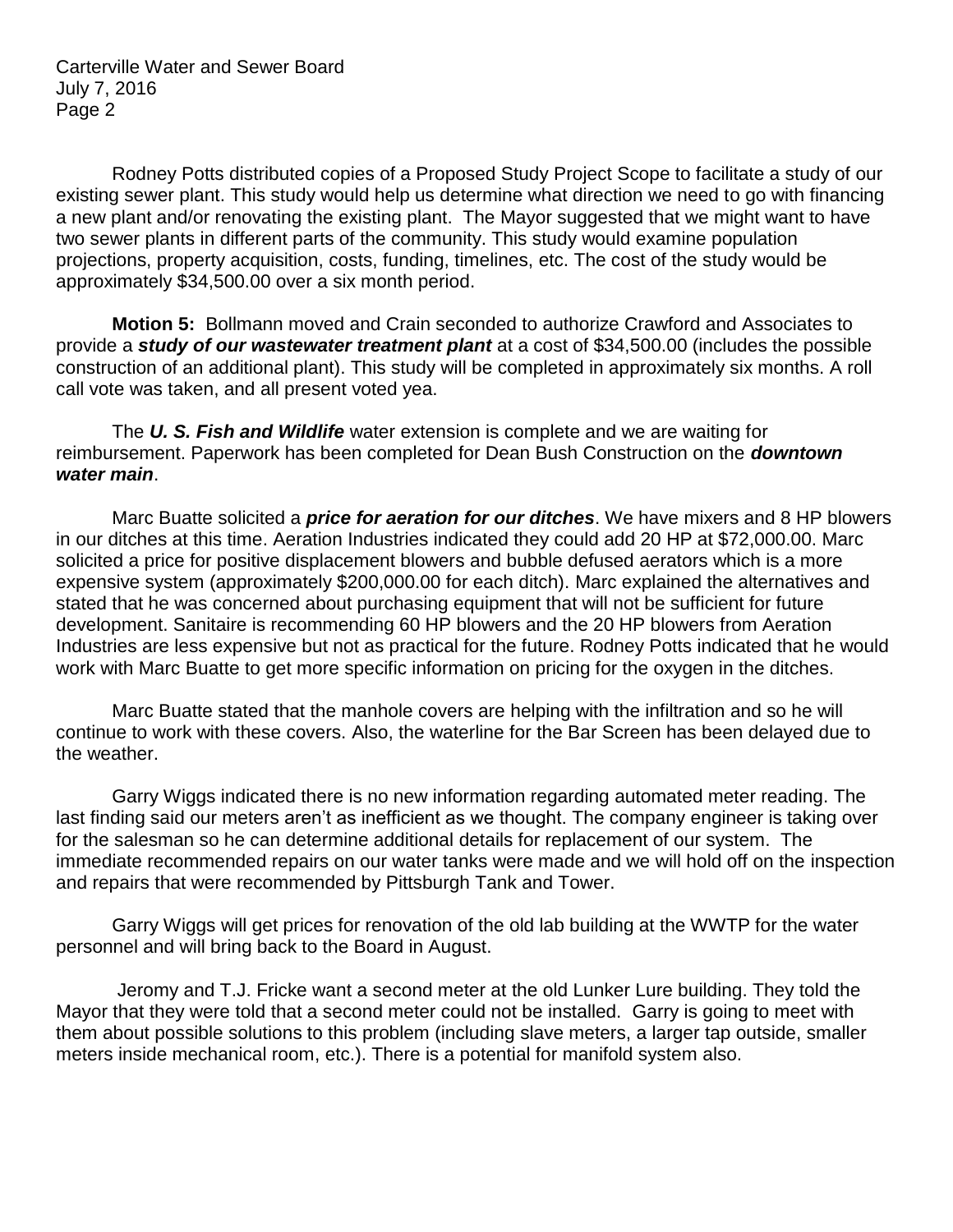Carterville Water and Sewer Board July 7, 2016 Page 2

Rodney Potts distributed copies of a Proposed Study Project Scope to facilitate a study of our existing sewer plant. This study would help us determine what direction we need to go with financing a new plant and/or renovating the existing plant. The Mayor suggested that we might want to have two sewer plants in different parts of the community. This study would examine population projections, property acquisition, costs, funding, timelines, etc. The cost of the study would be approximately \$34,500.00 over a six month period.

**Motion 5:** Bollmann moved and Crain seconded to authorize Crawford and Associates to provide a *study of our wastewater treatment plant* at a cost of \$34,500.00 (includes the possible construction of an additional plant). This study will be completed in approximately six months. A roll call vote was taken, and all present voted yea.

The *U. S. Fish and Wildlife* water extension is complete and we are waiting for reimbursement. Paperwork has been completed for Dean Bush Construction on the *downtown water main*.

Marc Buatte solicited a *price for aeration for our ditches*. We have mixers and 8 HP blowers in our ditches at this time. Aeration Industries indicated they could add 20 HP at \$72,000.00. Marc solicited a price for positive displacement blowers and bubble defused aerators which is a more expensive system (approximately \$200,000.00 for each ditch). Marc explained the alternatives and stated that he was concerned about purchasing equipment that will not be sufficient for future development. Sanitaire is recommending 60 HP blowers and the 20 HP blowers from Aeration Industries are less expensive but not as practical for the future. Rodney Potts indicated that he would work with Marc Buatte to get more specific information on pricing for the oxygen in the ditches.

Marc Buatte stated that the manhole covers are helping with the infiltration and so he will continue to work with these covers. Also, the waterline for the Bar Screen has been delayed due to the weather.

Garry Wiggs indicated there is no new information regarding automated meter reading. The last finding said our meters aren't as inefficient as we thought. The company engineer is taking over for the salesman so he can determine additional details for replacement of our system. The immediate recommended repairs on our water tanks were made and we will hold off on the inspection and repairs that were recommended by Pittsburgh Tank and Tower.

Garry Wiggs will get prices for renovation of the old lab building at the WWTP for the water personnel and will bring back to the Board in August.

Jeromy and T.J. Fricke want a second meter at the old Lunker Lure building. They told the Mayor that they were told that a second meter could not be installed. Garry is going to meet with them about possible solutions to this problem (including slave meters, a larger tap outside, smaller meters inside mechanical room, etc.). There is a potential for manifold system also.